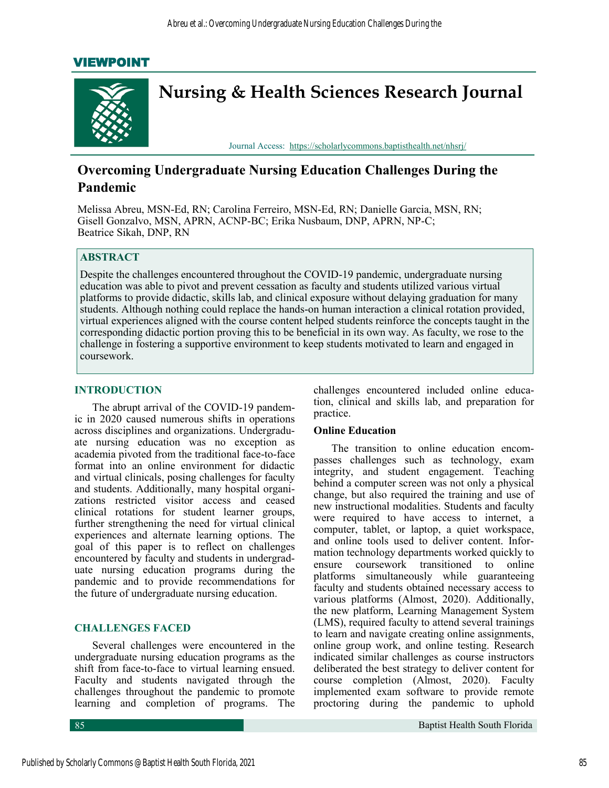# VIEWPOINT



# **Overcoming Undergraduate Nursing Education Challenges During the Pandemic**

Melissa Abreu, MSN-Ed, RN; Carolina Ferreiro, MSN-Ed, RN; Danielle Garcia, MSN, RN; Gisell Gonzalvo, MSN, APRN, ACNP-BC; Erika Nusbaum, DNP, APRN, NP-C; Beatrice Sikah, DNP, RN

### **ABSTRACT**

Despite the challenges encountered throughout the COVID-19 pandemic, undergraduate nursing education was able to pivot and prevent cessation as faculty and students utilized various virtual platforms to provide didactic, skills lab, and clinical exposure without delaying graduation for many students. Although nothing could replace the hands-on human interaction a clinical rotation provided, virtual experiences aligned with the course content helped students reinforce the concepts taught in the corresponding didactic portion proving this to be beneficial in its own way. As faculty, we rose to the challenge in fostering a supportive environment to keep students motivated to learn and engaged in coursework.

#### **INTRODUCTION**

The abrupt arrival of the COVID-19 pandemic in 2020 caused numerous shifts in operations across disciplines and organizations. Undergraduate nursing education was no exception as academia pivoted from the traditional face-to-face format into an online environment for didactic and virtual clinicals, posing challenges for faculty and students. Additionally, many hospital organizations restricted visitor access and ceased clinical rotations for student learner groups, further strengthening the need for virtual clinical experiences and alternate learning options. The goal of this paper is to reflect on challenges encountered by faculty and students in undergraduate nursing education programs during the pandemic and to provide recommendations for the future of undergraduate nursing education.

#### **CHALLENGES FACED**

Several challenges were encountered in the undergraduate nursing education programs as the shift from face-to-face to virtual learning ensued. Faculty and students navigated through the challenges throughout the pandemic to promote learning and completion of programs. The

challenges encountered included online education, clinical and skills lab, and preparation for practice.

#### **Online Education**

The transition to online education encompasses challenges such as technology, exam integrity, and student engagement. Teaching behind a computer screen was not only a physical change, but also required the training and use of new instructional modalities. Students and faculty were required to have access to internet, a computer, tablet, or laptop, a quiet workspace, and online tools used to deliver content. Information technology departments worked quickly to ensure coursework transitioned to online platforms simultaneously while guaranteeing faculty and students obtained necessary access to various platforms (Almost, 2020). Additionally, the new platform, Learning Management System (LMS), required faculty to attend several trainings to learn and navigate creating online assignments, online group work, and online testing. Research indicated similar challenges as course instructors deliberated the best strategy to deliver content for course completion (Almost, 2020). Faculty implemented exam software to provide remote proctoring during the pandemic to uphold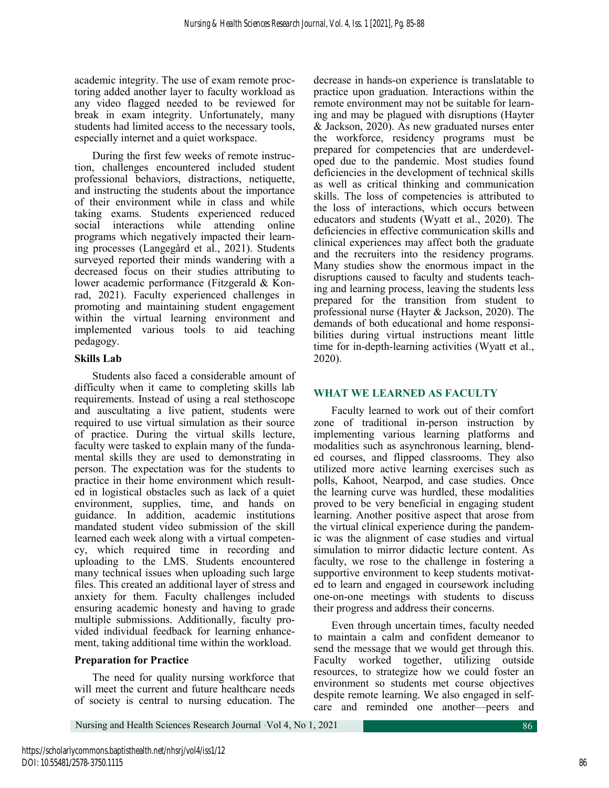academic integrity. The use of exam remote proctoring added another layer to faculty workload as any video flagged needed to be reviewed for break in exam integrity. Unfortunately, many students had limited access to the necessary tools, especially internet and a quiet workspace.

During the first few weeks of remote instruction, challenges encountered included student professional behaviors, distractions, netiquette, and instructing the students about the importance of their environment while in class and while taking exams. Students experienced reduced social interactions while attending online programs which negatively impacted their learning processes (Langegård et al., 2021). Students surveyed reported their minds wandering with a decreased focus on their studies attributing to lower academic performance (Fitzgerald & Konrad, 2021). Faculty experienced challenges in promoting and maintaining student engagement within the virtual learning environment and implemented various tools to aid teaching pedagogy.

### **Skills Lab**

Students also faced a considerable amount of difficulty when it came to completing skills lab requirements. Instead of using a real stethoscope and auscultating a live patient, students were required to use virtual simulation as their source of practice. During the virtual skills lecture, faculty were tasked to explain many of the fundamental skills they are used to demonstrating in person. The expectation was for the students to practice in their home environment which resulted in logistical obstacles such as lack of a quiet environment, supplies, time, and hands on guidance. In addition, academic institutions mandated student video submission of the skill learned each week along with a virtual competency, which required time in recording and uploading to the LMS. Students encountered many technical issues when uploading such large files. This created an additional layer of stress and anxiety for them. Faculty challenges included ensuring academic honesty and having to grade multiple submissions. Additionally, faculty provided individual feedback for learning enhancement, taking additional time within the workload.

## **Preparation for Practice**

The need for quality nursing workforce that will meet the current and future healthcare needs of society is central to nursing education. The

decrease in hands-on experience is translatable to practice upon graduation. Interactions within the remote environment may not be suitable for learning and may be plagued with disruptions (Hayter & Jackson, 2020). As new graduated nurses enter the workforce, residency programs must be prepared for competencies that are underdeveloped due to the pandemic. Most studies found deficiencies in the development of technical skills as well as critical thinking and communication skills. The loss of competencies is attributed to the loss of interactions, which occurs between educators and students (Wyatt et al., 2020). The deficiencies in effective communication skills and clinical experiences may affect both the graduate and the recruiters into the residency programs. Many studies show the enormous impact in the disruptions caused to faculty and students teaching and learning process, leaving the students less prepared for the transition from student to professional nurse (Hayter & Jackson, 2020). The demands of both educational and home responsibilities during virtual instructions meant little time for in-depth-learning activities (Wyatt et al., 2020).

# **WHAT WE LEARNED AS FACULTY**

Faculty learned to work out of their comfort zone of traditional in-person instruction by implementing various learning platforms and modalities such as asynchronous learning, blended courses, and flipped classrooms. They also utilized more active learning exercises such as polls, Kahoot, Nearpod, and case studies. Once the learning curve was hurdled, these modalities proved to be very beneficial in engaging student learning. Another positive aspect that arose from the virtual clinical experience during the pandemic was the alignment of case studies and virtual simulation to mirror didactic lecture content. As faculty, we rose to the challenge in fostering a supportive environment to keep students motivated to learn and engaged in coursework including one-on-one meetings with students to discuss their progress and address their concerns.

Even through uncertain times, faculty needed to maintain a calm and confident demeanor to send the message that we would get through this. Faculty worked together, utilizing outside resources, to strategize how we could foster an environment so students met course objectives despite remote learning. We also engaged in selfcare and reminded one another—peers and

Nursing and Health Sciences Research Journal ·Vol 4, No 1, 2021 86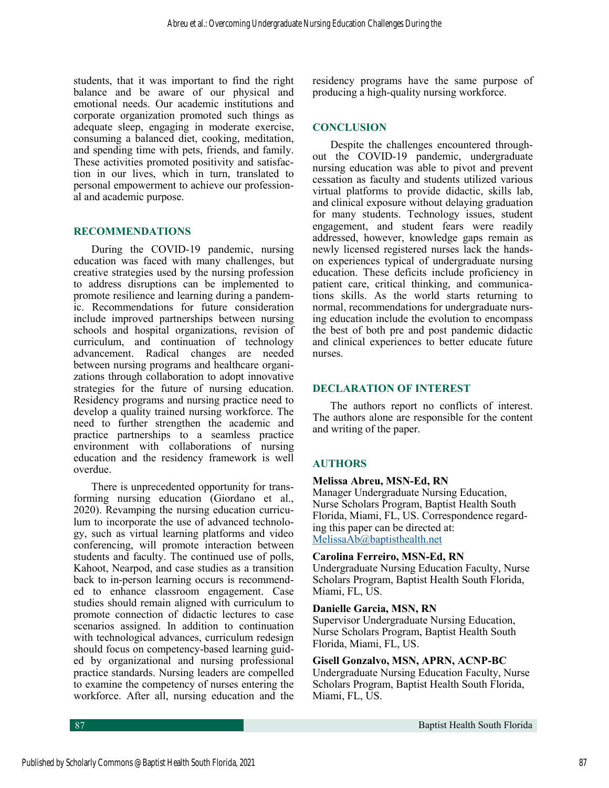students, that it was important to find the right balance and be aware of our physical and emotional needs. Our academic institutions and corporate organization promoted such things as adequate sleep, engaging in moderate exercise, consuming a balanced diet, cooking, meditation, and spending time with pets, friends, and family. These activities promoted positivity and satisfaction in our lives, which in turn, translated to personal empowerment to achieve our professional and academic purpose.

#### **RECOMMENDATIONS**

During the COVID-19 pandemic, nursing education was faced with many challenges, but creative strategies used by the nursing profession to address disruptions can be implemented to promote resilience and learning during a pandemic. Recommendations for future consideration include improved partnerships between nursing schools and hospital organizations, revision of curriculum, and continuation of technology advancement. Radical changes are needed between nursing programs and healthcare organizations through collaboration to adopt innovative strategies for the future of nursing education. Residency programs and nursing practice need to develop a quality trained nursing workforce. The need to further strengthen the academic and practice partnerships to a seamless practice environment with collaborations of nursing education and the residency framework is well overdue.

There is unprecedented opportunity for transforming nursing education (Giordano et al., 2020). Revamping the nursing education curriculum to incorporate the use of advanced technology, such as virtual learning platforms and video conferencing, will promote interaction between students and faculty. The continued use of polls, Kahoot, Nearpod, and case studies as a transition back to in-person learning occurs is recommended to enhance classroom engagement. Case studies should remain aligned with curriculum to promote connection of didactic lectures to case scenarios assigned. In addition to continuation with technological advances, curriculum redesign should focus on competency-based learning guided by organizational and nursing professional practice standards. Nursing leaders are compelled to examine the competency of nurses entering the workforce. After all, nursing education and the

residency programs have the same purpose of producing a high-quality nursing workforce.

### **CONCLUSION**

Despite the challenges encountered throughout the COVID-19 pandemic, undergraduate nursing education was able to pivot and prevent cessation as faculty and students utilized various virtual platforms to provide didactic, skills lab, and clinical exposure without delaying graduation for many students. Technology issues, student engagement, and student fears were readily addressed, however, knowledge gaps remain as newly licensed registered nurses lack the handson experiences typical of undergraduate nursing education. These deficits include proficiency in patient care, critical thinking, and communications skills. As the world starts returning to normal, recommendations for undergraduate nursing education include the evolution to encompass the best of both pre and post pandemic didactic and clinical experiences to better educate future nurses.

### **DECLARATION OF INTEREST**

The authors report no conflicts of interest. The authors alone are responsible for the content and writing of the paper.

## **AUTHORS**

### **Melissa Abreu, MSN-Ed, RN**

Manager Undergraduate Nursing Education, Nurse Scholars Program, Baptist Health South Florida, Miami, FL, US. Correspondence regarding this paper can be directed at: [MelissaAb@baptisthealth.net](mailto:MrDavidSchneider@gmail.com)

#### **Carolina Ferreiro, MSN-Ed, RN**

Undergraduate Nursing Education Faculty, Nurse Scholars Program, Baptist Health South Florida, Miami, FL, US.

#### **Danielle Garcia, MSN, RN**

Supervisor Undergraduate Nursing Education, Nurse Scholars Program, Baptist Health South Florida, Miami, FL, US.

### **Gisell Gonzalvo, MSN, APRN, ACNP-BC**

Undergraduate Nursing Education Faculty, Nurse Scholars Program, Baptist Health South Florida, Miami, FL, US.